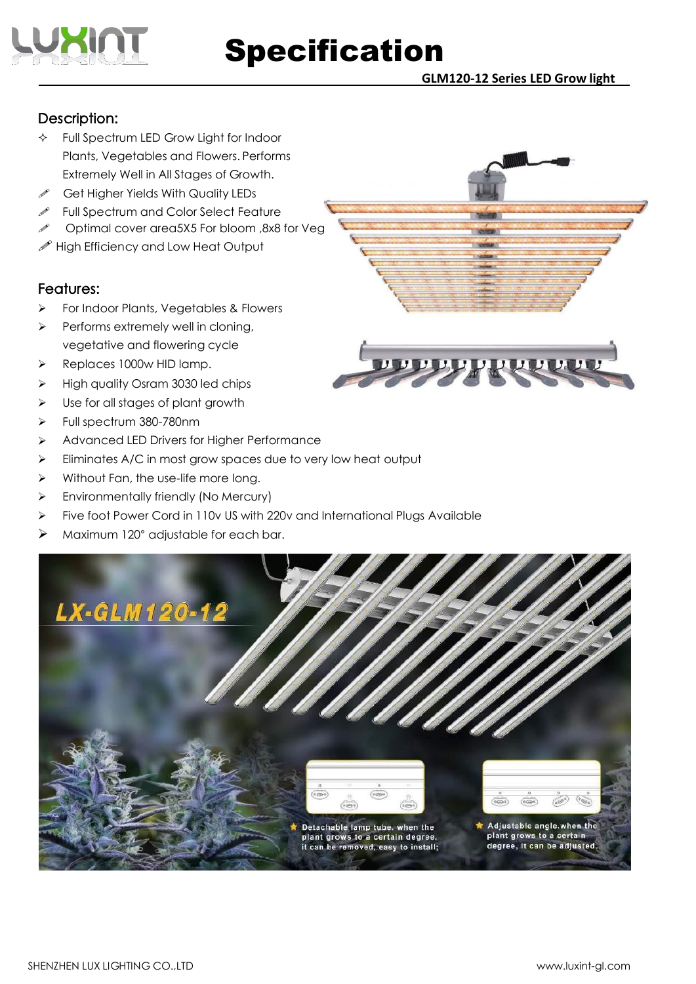

**GLM120-12 Series LED Grow light**

### Description:

- Full Spectrum LED Grow Light for Indoor Plants, Vegetables and Flowers. Performs Extremely Well in All Stages of Growth.
- $\mathscr{I}$  Get Higher Yields With Quality LEDs
- Full Spectrum and Color Select Feature
- Optimal cover area5X5 For bloom ,8x8 for Veg
- $\mathscr P$  High Efficiency and Low Heat Output

#### Features:

- For Indoor Plants, Vegetables & Flowers
- Performs extremely well in cloning, vegetative and flowering cycle
- P Replaces 1000w HID lamp.
- $\triangleright$  High quality Osram 3030 led chips
- $\triangleright$  Use for all stages of plant growth
- Full spectrum 380-780nm
- $\triangleright$  Advanced LED Drivers for Higher Performance
- $\triangleright$  Eliminates A/C in most grow spaces due to very low heat output
- $\triangleright$  Without Fan, the use-life more long.
- Environmentally friendly (No Mercury)
- Five foot Power Cord in 110v US with 220v and International Plugs Available
- Maximum 120° adjustable for each bar.



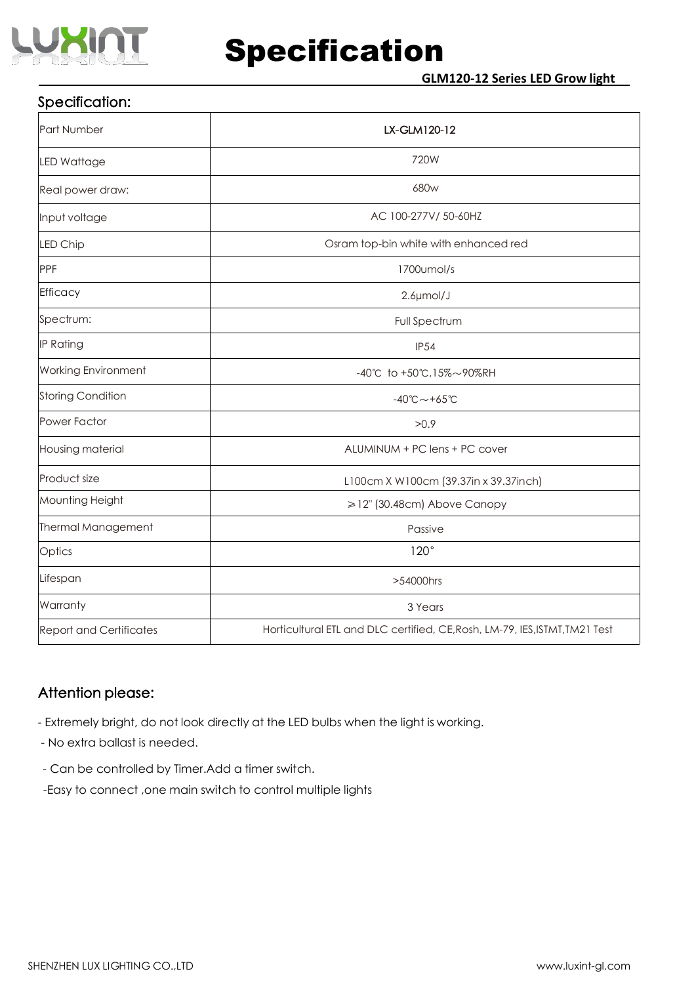

## Specification:

| Part Number                                                                                                   | LX-GLM120-12                          |  |  |  |  |
|---------------------------------------------------------------------------------------------------------------|---------------------------------------|--|--|--|--|
| <b>LED Wattage</b>                                                                                            | 720W                                  |  |  |  |  |
| Real power draw:                                                                                              | 680w                                  |  |  |  |  |
| Input voltage                                                                                                 | AC 100-277V/ 50-60HZ                  |  |  |  |  |
| LED Chip                                                                                                      | Osram top-bin white with enhanced red |  |  |  |  |
| PPF                                                                                                           | 1700umol/s                            |  |  |  |  |
| Efficacy                                                                                                      | $2.6 \mu$ mol/J                       |  |  |  |  |
| Spectrum:                                                                                                     | Full Spectrum                         |  |  |  |  |
| IP Rating<br><b>IP54</b>                                                                                      |                                       |  |  |  |  |
| <b>Working Environment</b><br>-40℃ to +50℃,15%~90%RH                                                          |                                       |  |  |  |  |
| Storing Condition<br>$-40^{\circ}$ C ~ +65 $^{\circ}$ C                                                       |                                       |  |  |  |  |
| Power Factor                                                                                                  | >0.9                                  |  |  |  |  |
| ALUMINUM + PC lens + PC cover<br>Housing material                                                             |                                       |  |  |  |  |
| Product size<br>L100cm X W100cm (39.37in x 39.37inch)                                                         |                                       |  |  |  |  |
| Mounting Height                                                                                               | ≥12" (30.48cm) Above Canopy           |  |  |  |  |
| Thermal Management                                                                                            | Passive                               |  |  |  |  |
| Optics                                                                                                        | 120°                                  |  |  |  |  |
| Lifespan                                                                                                      | >54000hrs                             |  |  |  |  |
| Warranty                                                                                                      | 3 Years                               |  |  |  |  |
| Horticultural ETL and DLC certified, CE, Rosh, LM-79, IES, ISTMT, TM21 Test<br><b>Report and Certificates</b> |                                       |  |  |  |  |

#### Attention please:

- Extremely bright, do not look directly at the LED bulbs when the light is working.

- No extra ballast is needed.
- Can be controlled by Timer.Add a timer switch.
- -Easy to connect ,one main switch to control multiple lights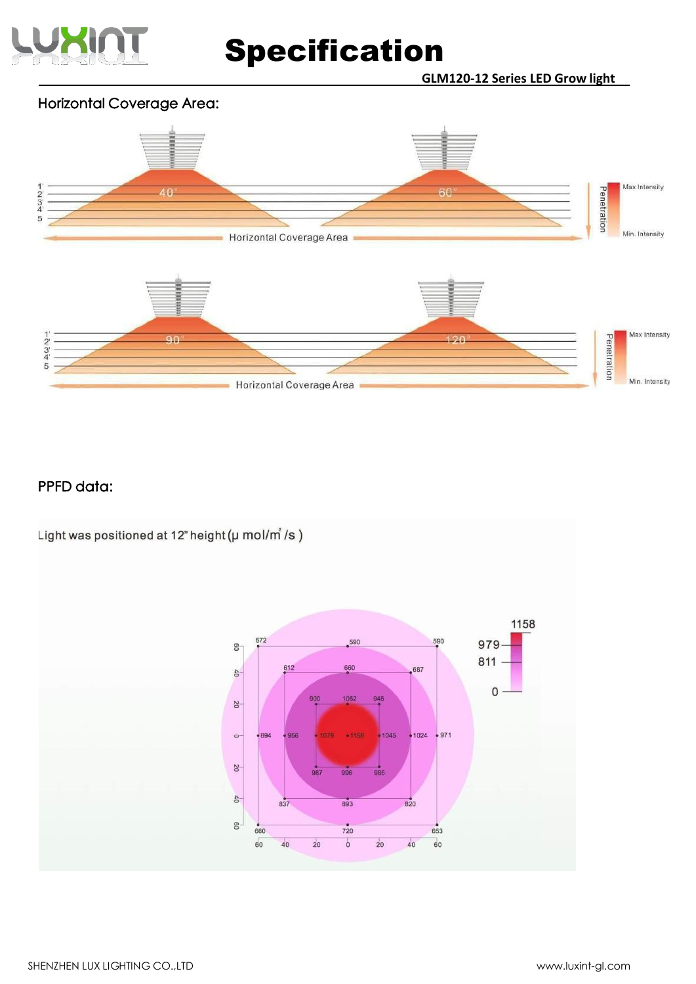

**GLM120-12 Series LED Grow light**

### Horizontal Coverage Area:



### PPFD data:

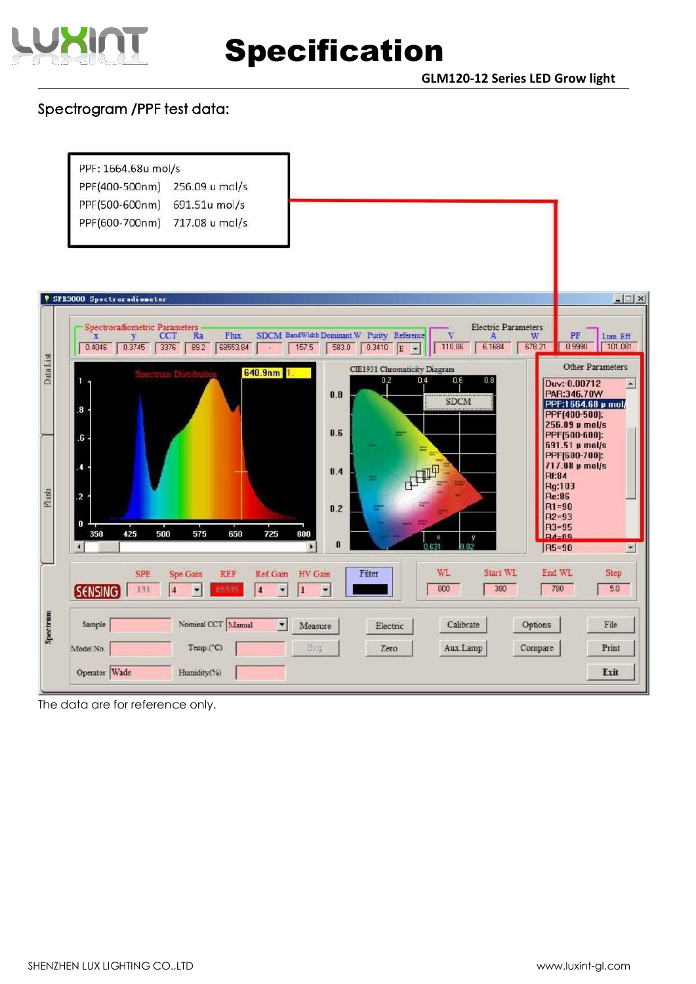

**GLM120-12 Series LED Grow light**

## Spectrogram /PPF test data:

|           | PPF: 1664.68u mol/s<br>PPF(400-500nm)<br>256.09 u mol/s<br>PPF(500-600nm)<br>691.51u mol/s<br>PPF(600-700nm)<br>717.08 u mol/s                                                                                                               |                                                                                                                         |
|-----------|----------------------------------------------------------------------------------------------------------------------------------------------------------------------------------------------------------------------------------------------|-------------------------------------------------------------------------------------------------------------------------|
|           | <b>V SPR3000 Spectroradioneter</b><br>Spectroradiometric Parameters<br><b>Electric Parameters</b><br>Ra<br>SDCM BandWidth Dominant.W Purity Reference<br><b>CCT</b><br>Flux<br>v                                                             | $\Box$<br>PF                                                                                                            |
| Data List | A<br>w<br>v<br>$\mathbf{x}$<br>110.06<br>6.1684<br>678.21<br>0.4046<br>0.3745<br>3376<br>89.2<br>68553.84<br>157.5<br>$0.3410$ E<br>583.0<br>$\widetilde{\mathbf{u}}$<br>$\overline{\phantom{a}}$<br>CIE1931 Chromaticity Diagram<br>640.9nm | Lum. Eff<br>0.9990<br>101.081<br>Other Parameters                                                                       |
|           | 0.4<br>0.6<br>0.2<br>0.8<br>1<br>0.8<br><b>SDCM</b><br>8.<br>0.6<br>6.                                                                                                                                                                       | Duv:-0.00712<br>$\overline{ }$<br>PAR:346.70W<br>PPF:1664.68 µ mol/<br>PPF[400-500]:<br>256.09 µ mol/s<br>PPF[500-600]: |
| Flash     | L.<br>0.4<br>$\overline{a}$                                                                                                                                                                                                                  | 691.51 µ mol/s<br>PPF[600-700]:<br>717.08 µ mol/s<br><b>Rf:84</b><br>Rg:103<br><b>Re:86</b>                             |
|           | 0.2<br>0<br>425<br>500<br>575<br>650<br>350<br>725<br>800<br>у<br>X<br>$\bf{0}$<br>82<br>$\blacktriangleright$                                                                                                                               | $R1 = 90$<br>$R2 = 93$<br>$R3 = 95$<br>$PA = 89$<br>R5=90<br>$\blacksquare$                                             |
|           | WL<br>Start WL<br>Filter<br><b>SPE</b><br>Spe.Gain<br>REF<br>Ref.Gain<br>HV Gain<br>800<br>380<br><b>SENSING</b><br>131<br>14<br>65535<br>$\overline{\mathbf{4}}$<br>$\overline{\phantom{a}}$<br>$\overline{\phantom{a}}$<br>I<br>٠          | End WL<br>Step<br>780<br>5.0                                                                                            |
| Spectrum  | Nominal CCT Manual<br>Sample<br>Calibrate<br>Options<br>$\blacksquare$<br>Measure<br>Electric<br>Temp.(°C)<br>Aux.Lamp<br>Compare<br>Model No.<br>Stop<br>Zero<br>Operator Wade<br>Humidity(%)                                               | File<br>Print<br>Exit                                                                                                   |

The data are for reference only.